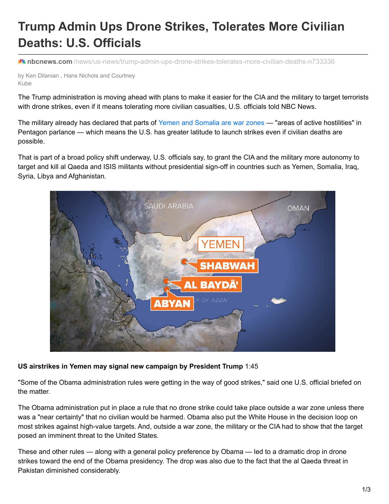## **Trump Admin Ups Drone Strikes, Tolerates More Civilian Deaths: U.S. Officials**

**nbcnews.com** [/news/us-news/trump-admin-ups-drone-strikes-tolerates-more-civilian-deaths-n733336](https://www.nbcnews.com/news/us-news/trump-admin-ups-drone-strikes-tolerates-more-civilian-deaths-n733336)

by Ken Dilanian , Hans Nichols and Courtney Kube

The Trump administration is moving ahead with plans to make it easier for the CIA and the military to target terrorists with drone strikes, even if it means tolerating more civilian casualties, U.S. officials told NBC News.

The military already has declared that parts of Yemen and [Somalia](http://www.nbcnews.com/news/investigations/yemen-seal-raid-yielded-no-significant-intelligence-say-officials-n726451) are war zones — "areas of active hostilities" in Pentagon parlance — which means the U.S. has greater latitude to launch strikes even if civilian deaths are possible.

That is part of a broad policy shift underway, U.S. officials say, to grant the CIA and the military more autonomy to target and kill al Qaeda and ISIS militants without presidential sign-off in countries such as Yemen, Somalia, Iraq, Syria, Libya and Afghanistan.



## **US airstrikes in Yemen may signal new campaign by President Trump** 1:45

"Some of the Obama administration rules were getting in the way of good strikes," said one U.S. official briefed on the matter.

The Obama administration put in place a rule that no drone strike could take place outside a war zone unless there was a "near certainty" that no civilian would be harmed. Obama also put the White House in the decision loop on most strikes against high-value targets. And, outside a war zone, the military or the CIA had to show that the target posed an imminent threat to the United States.

These and other rules — along with a general policy preference by Obama — led to a dramatic drop in drone strikes toward the end of the Obama presidency. The drop was also due to the fact that the al Qaeda threat in Pakistan diminished considerably.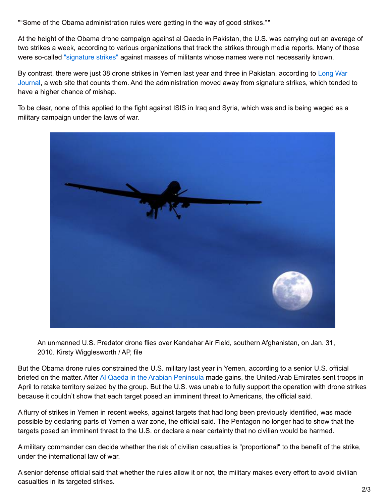""Some of the Obama administration rules were getting in the way of good strikes.""

At the height of the Obama drone campaign against al Qaeda in Pakistan, the U.S. was carrying out an average of two strikes a week, according to various organizations that track the strikes through media reports. Many of those were so-called ["signature](http://investigations.nbcnews.com/_news/2013/06/05/18781930-cia-didnt-always-know-who-it-was-killing-in-drone-strikes-classified-documents-show) strikes" against masses of militants whose names were not necessarily known.

By contrast, there were just 38 drone strikes in Yemen last year and three in Pakistan, according to Long War Journal, a web site that counts them. And the [administration](http://www.longwarjournal.org/) moved away from signature strikes, which tended to have a higher chance of mishap.

To be clear, none of this applied to the fight against ISIS in Iraq and Syria, which was and is being waged as a military campaign under the laws of war.



An unmanned U.S. Predator drone flies over Kandahar Air Field, southern Afghanistan, on Jan. 31, 2010. Kirsty Wigglesworth / AP, file

But the Obama drone rules constrained the U.S. military last year in Yemen, according to a senior U.S. official briefed on the matter. After AI Qaeda in the Arabian [Peninsula](http://www.nbcnews.com/news/us-news/what-went-wrong-inside-yemen-seal-raid-n716216) made gains, the United Arab Emirates sent troops in April to retake territory seized by the group. But the U.S. was unable to fully support the operation with drone strikes because it couldn't show that each target posed an imminent threat to Americans, the official said.

A flurry of strikes in Yemen in recent weeks, against targets that had long been previously identified, was made possible by declaring parts of Yemen a war zone, the official said. The Pentagon no longer had to show that the targets posed an imminent threat to the U.S. or declare a near certainty that no civilian would be harmed.

A military commander can decide whether the risk of civilian casualties is "proportional" to the benefit of the strike, under the international law of war.

A senior defense official said that whether the rules allow it or not, the military makes every effort to avoid civilian casualties in its targeted strikes.